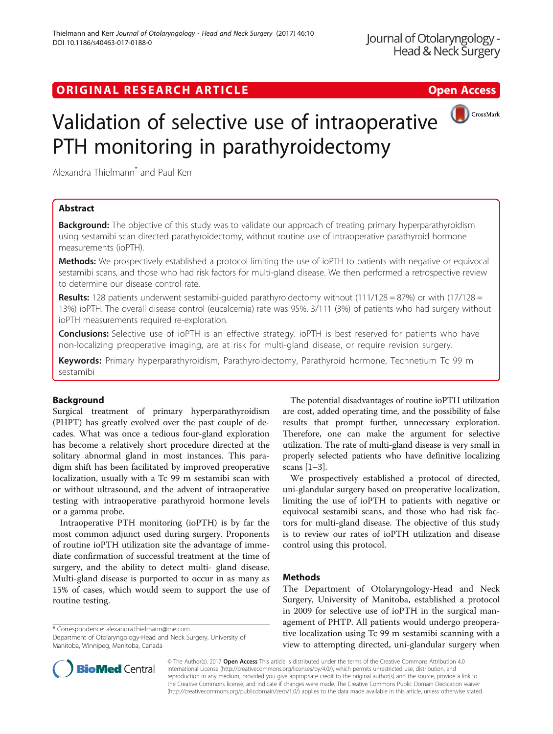## ORIGINAL RESEARCH ARTICLE **Solution Contract Contract Contract Contract Contract Contract Contract Contract Contract Contract Contract Contract Contract Contract Contract Contract Contract Contract Contract Contract Contra**



# Validation of selective use of intraoperative PTH monitoring in parathyroidectomy

Alexandra Thielmann<sup>\*</sup> and Paul Kerr

## Abstract

**Background:** The objective of this study was to validate our approach of treating primary hyperparathyroidism using sestamibi scan directed parathyroidectomy, without routine use of intraoperative parathyroid hormone measurements (ioPTH).

Methods: We prospectively established a protocol limiting the use of ioPTH to patients with negative or equivocal sestamibi scans, and those who had risk factors for multi-gland disease. We then performed a retrospective review to determine our disease control rate.

**Results:** 128 patients underwent sestamibi-guided parathyroidectomy without (111/128 = 87%) or with (17/128 = 13%) ioPTH. The overall disease control (eucalcemia) rate was 95%. 3/111 (3%) of patients who had surgery without ioPTH measurements required re-exploration.

Conclusions: Selective use of ioPTH is an effective strategy. ioPTH is best reserved for patients who have non-localizing preoperative imaging, are at risk for multi-gland disease, or require revision surgery.

Keywords: Primary hyperparathyroidism, Parathyroidectomy, Parathyroid hormone, Technetium Tc 99 m sestamibi

## Background

Surgical treatment of primary hyperparathyroidism (PHPT) has greatly evolved over the past couple of decades. What was once a tedious four-gland exploration has become a relatively short procedure directed at the solitary abnormal gland in most instances. This paradigm shift has been facilitated by improved preoperative localization, usually with a Tc 99 m sestamibi scan with or without ultrasound, and the advent of intraoperative testing with intraoperative parathyroid hormone levels or a gamma probe.

Intraoperative PTH monitoring (ioPTH) is by far the most common adjunct used during surgery. Proponents of routine ioPTH utilization site the advantage of immediate confirmation of successful treatment at the time of surgery, and the ability to detect multi- gland disease. Multi-gland disease is purported to occur in as many as 15% of cases, which would seem to support the use of routine testing.

\* Correspondence: [alexandra.thielmann@me.com](mailto:alexandra.thielmann@me.com)

Department of Otolaryngology-Head and Neck Surgery, University of Manitoba, Winnipeg, Manitoba, Canada

The potential disadvantages of routine ioPTH utilization are cost, added operating time, and the possibility of false results that prompt further, unnecessary exploration. Therefore, one can make the argument for selective utilization. The rate of multi-gland disease is very small in properly selected patients who have definitive localizing scans [[1](#page-3-0)–[3](#page-3-0)].

We prospectively established a protocol of directed, uni-glandular surgery based on preoperative localization, limiting the use of ioPTH to patients with negative or equivocal sestamibi scans, and those who had risk factors for multi-gland disease. The objective of this study is to review our rates of ioPTH utilization and disease control using this protocol.

## **Methods**

The Department of Otolaryngology-Head and Neck Surgery, University of Manitoba, established a protocol in 2009 for selective use of ioPTH in the surgical management of PHTP. All patients would undergo preoperative localization using Tc 99 m sestamibi scanning with a view to attempting directed, uni-glandular surgery when



© The Author(s). 2017 Open Access This article is distributed under the terms of the Creative Commons Attribution 4.0 International License [\(http://creativecommons.org/licenses/by/4.0/](http://creativecommons.org/licenses/by/4.0/)), which permits unrestricted use, distribution, and reproduction in any medium, provided you give appropriate credit to the original author(s) and the source, provide a link to the Creative Commons license, and indicate if changes were made. The Creative Commons Public Domain Dedication waiver [\(http://creativecommons.org/publicdomain/zero/1.0/](http://creativecommons.org/publicdomain/zero/1.0/)) applies to the data made available in this article, unless otherwise stated.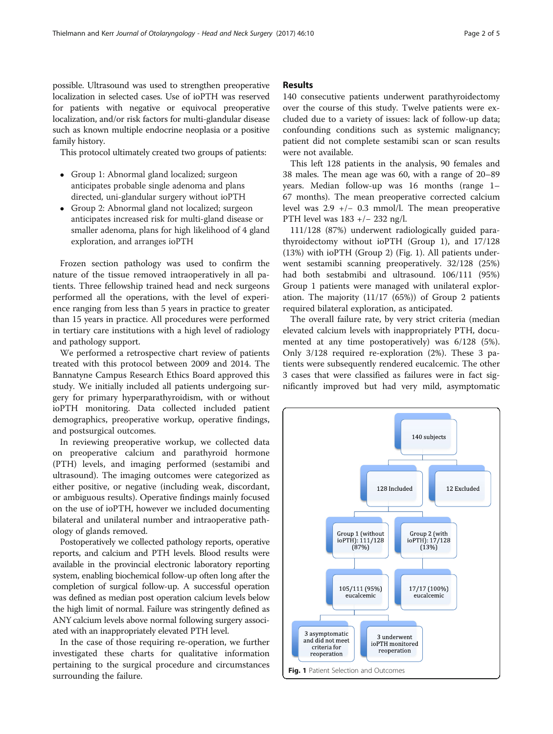possible. Ultrasound was used to strengthen preoperative localization in selected cases. Use of ioPTH was reserved for patients with negative or equivocal preoperative localization, and/or risk factors for multi-glandular disease such as known multiple endocrine neoplasia or a positive family history.

This protocol ultimately created two groups of patients:

- Group 1: Abnormal gland localized; surgeon anticipates probable single adenoma and plans directed, uni-glandular surgery without ioPTH
- Group 2: Abnormal gland not localized; surgeon anticipates increased risk for multi-gland disease or smaller adenoma, plans for high likelihood of 4 gland exploration, and arranges ioPTH

Frozen section pathology was used to confirm the nature of the tissue removed intraoperatively in all patients. Three fellowship trained head and neck surgeons performed all the operations, with the level of experience ranging from less than 5 years in practice to greater than 15 years in practice. All procedures were performed in tertiary care institutions with a high level of radiology and pathology support.

We performed a retrospective chart review of patients treated with this protocol between 2009 and 2014. The Bannatyne Campus Research Ethics Board approved this study. We initially included all patients undergoing surgery for primary hyperparathyroidism, with or without ioPTH monitoring. Data collected included patient demographics, preoperative workup, operative findings, and postsurgical outcomes.

In reviewing preoperative workup, we collected data on preoperative calcium and parathyroid hormone (PTH) levels, and imaging performed (sestamibi and ultrasound). The imaging outcomes were categorized as either positive, or negative (including weak, discordant, or ambiguous results). Operative findings mainly focused on the use of ioPTH, however we included documenting bilateral and unilateral number and intraoperative pathology of glands removed.

Postoperatively we collected pathology reports, operative reports, and calcium and PTH levels. Blood results were available in the provincial electronic laboratory reporting system, enabling biochemical follow-up often long after the completion of surgical follow-up. A successful operation was defined as median post operation calcium levels below the high limit of normal. Failure was stringently defined as ANY calcium levels above normal following surgery associated with an inappropriately elevated PTH level.

In the case of those requiring re-operation, we further investigated these charts for qualitative information pertaining to the surgical procedure and circumstances surrounding the failure.

#### Results

140 consecutive patients underwent parathyroidectomy over the course of this study. Twelve patients were excluded due to a variety of issues: lack of follow-up data; confounding conditions such as systemic malignancy; patient did not complete sestamibi scan or scan results were not available.

This left 128 patients in the analysis, 90 females and 38 males. The mean age was 60, with a range of 20–89 years. Median follow-up was 16 months (range 1– 67 months). The mean preoperative corrected calcium level was 2.9 +/− 0.3 mmol/l. The mean preoperative PTH level was 183 +/− 232 ng/l.

111/128 (87%) underwent radiologically guided parathyroidectomy without ioPTH (Group 1), and 17/128 (13%) with ioPTH (Group 2) (Fig. 1). All patients underwent sestamibi scanning preoperatively. 32/128 (25%) had both sestabmibi and ultrasound. 106/111 (95%) Group 1 patients were managed with unilateral exploration. The majority (11/17 (65%)) of Group 2 patients required bilateral exploration, as anticipated.

The overall failure rate, by very strict criteria (median elevated calcium levels with inappropriately PTH, documented at any time postoperatively) was 6/128 (5%). Only 3/128 required re-exploration (2%). These 3 patients were subsequently rendered eucalcemic. The other 3 cases that were classified as failures were in fact significantly improved but had very mild, asymptomatic

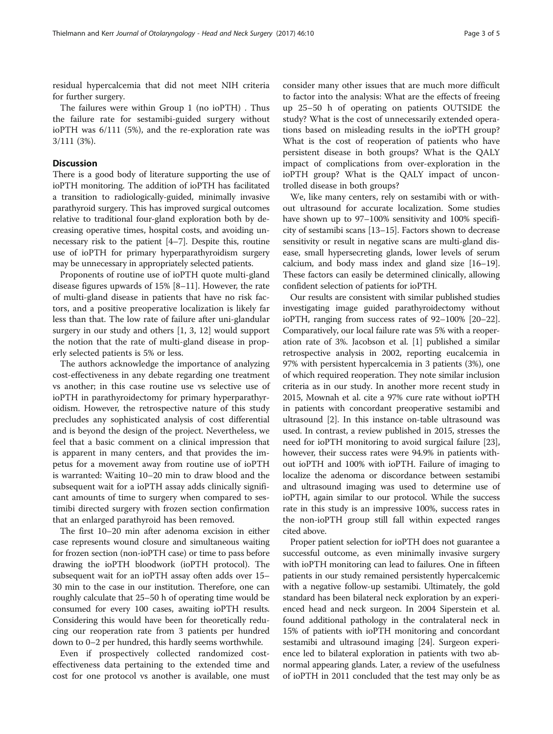residual hypercalcemia that did not meet NIH criteria for further surgery.

The failures were within Group 1 (no ioPTH) . Thus the failure rate for sestamibi-guided surgery without ioPTH was 6/111 (5%), and the re-exploration rate was 3/111 (3%).

#### **Discussion**

There is a good body of literature supporting the use of ioPTH monitoring. The addition of ioPTH has facilitated a transition to radiologically-guided, minimally invasive parathyroid surgery. This has improved surgical outcomes relative to traditional four-gland exploration both by decreasing operative times, hospital costs, and avoiding unnecessary risk to the patient [[4](#page-3-0)–[7](#page-3-0)]. Despite this, routine use of ioPTH for primary hyperparathyroidism surgery may be unnecessary in appropriately selected patients.

Proponents of routine use of ioPTH quote multi-gland disease figures upwards of 15% [\[8](#page-3-0)–[11\]](#page-3-0). However, the rate of multi-gland disease in patients that have no risk factors, and a positive preoperative localization is likely far less than that. The low rate of failure after uni-glandular surgery in our study and others [[1, 3](#page-3-0), [12](#page-3-0)] would support the notion that the rate of multi-gland disease in properly selected patients is 5% or less.

The authors acknowledge the importance of analyzing cost-effectiveness in any debate regarding one treatment vs another; in this case routine use vs selective use of ioPTH in parathyroidectomy for primary hyperparathyroidism. However, the retrospective nature of this study precludes any sophisticated analysis of cost differential and is beyond the design of the project. Nevertheless, we feel that a basic comment on a clinical impression that is apparent in many centers, and that provides the impetus for a movement away from routine use of ioPTH is warranted: Waiting 10–20 min to draw blood and the subsequent wait for a ioPTH assay adds clinically significant amounts of time to surgery when compared to sestimibi directed surgery with frozen section confirmation that an enlarged parathyroid has been removed.

The first 10–20 min after adenoma excision in either case represents wound closure and simultaneous waiting for frozen section (non-ioPTH case) or time to pass before drawing the ioPTH bloodwork (ioPTH protocol). The subsequent wait for an ioPTH assay often adds over 15– 30 min to the case in our institution. Therefore, one can roughly calculate that 25–50 h of operating time would be consumed for every 100 cases, awaiting ioPTH results. Considering this would have been for theoretically reducing our reoperation rate from 3 patients per hundred down to 0–2 per hundred, this hardly seems worthwhile.

Even if prospectively collected randomized costeffectiveness data pertaining to the extended time and cost for one protocol vs another is available, one must

consider many other issues that are much more difficult to factor into the analysis: What are the effects of freeing up 25–50 h of operating on patients OUTSIDE the study? What is the cost of unnecessarily extended operations based on misleading results in the ioPTH group? What is the cost of reoperation of patients who have persistent disease in both groups? What is the QALY impact of complications from over-exploration in the ioPTH group? What is the QALY impact of uncontrolled disease in both groups?

We, like many centers, rely on sestamibi with or without ultrasound for accurate localization. Some studies have shown up to 97–100% sensitivity and 100% specificity of sestamibi scans [[13](#page-3-0)–[15\]](#page-3-0). Factors shown to decrease sensitivity or result in negative scans are multi-gland disease, small hypersecreting glands, lower levels of serum calcium, and body mass index and gland size [\[16](#page-4-0)–[19](#page-4-0)]. These factors can easily be determined clinically, allowing confident selection of patients for ioPTH.

Our results are consistent with similar published studies investigating image guided parathyroidectomy without ioPTH, ranging from success rates of 92–100% [\[20](#page-4-0)–[22](#page-4-0)]. Comparatively, our local failure rate was 5% with a reoperation rate of 3%. Jacobson et al. [\[1](#page-3-0)] published a similar retrospective analysis in 2002, reporting eucalcemia in 97% with persistent hypercalcemia in 3 patients (3%), one of which required reoperation. They note similar inclusion criteria as in our study. In another more recent study in 2015, Mownah et al. cite a 97% cure rate without ioPTH in patients with concordant preoperative sestamibi and ultrasound [\[2](#page-3-0)]. In this instance on-table ultrasound was used. In contrast, a review published in 2015, stresses the need for ioPTH monitoring to avoid surgical failure [[23](#page-4-0)], however, their success rates were 94.9% in patients without ioPTH and 100% with ioPTH. Failure of imaging to localize the adenoma or discordance between sestamibi and ultrasound imaging was used to determine use of ioPTH, again similar to our protocol. While the success rate in this study is an impressive 100%, success rates in the non-ioPTH group still fall within expected ranges cited above.

Proper patient selection for ioPTH does not guarantee a successful outcome, as even minimally invasive surgery with ioPTH monitoring can lead to failures. One in fifteen patients in our study remained persistently hypercalcemic with a negative follow-up sestamibi. Ultimately, the gold standard has been bilateral neck exploration by an experienced head and neck surgeon. In 2004 Siperstein et al. found additional pathology in the contralateral neck in 15% of patients with ioPTH monitoring and concordant sestamibi and ultrasound imaging [\[24](#page-4-0)]. Surgeon experience led to bilateral exploration in patients with two abnormal appearing glands. Later, a review of the usefulness of ioPTH in 2011 concluded that the test may only be as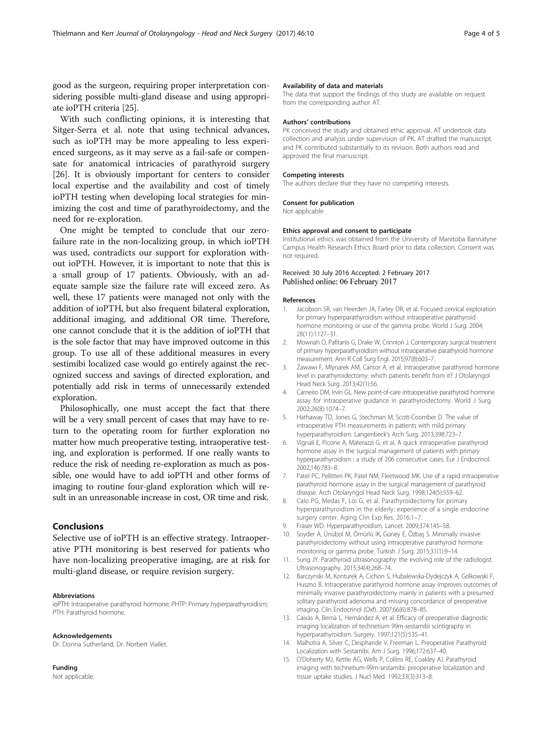<span id="page-3-0"></span>good as the surgeon, requiring proper interpretation considering possible multi-gland disease and using appropriate ioPTH criteria [\[25](#page-4-0)].

With such conflicting opinions, it is interesting that Sitger-Serra et al. note that using technical advances, such as ioPTH may be more appealing to less experienced surgeons, as it may serve as a fail-safe or compensate for anatomical intricacies of parathyroid surgery [[26\]](#page-4-0). It is obviously important for centers to consider local expertise and the availability and cost of timely ioPTH testing when developing local strategies for minimizing the cost and time of parathyroidectomy, and the need for re-exploration.

One might be tempted to conclude that our zerofailure rate in the non-localizing group, in which ioPTH was used, contradicts our support for exploration without ioPTH. However, it is important to note that this is a small group of 17 patients. Obviously, with an adequate sample size the failure rate will exceed zero. As well, these 17 patients were managed not only with the addition of ioPTH, but also frequent bilateral exploration, additional imaging, and additional OR time. Therefore, one cannot conclude that it is the addition of ioPTH that is the sole factor that may have improved outcome in this group. To use all of these additional measures in every sestimibi localized case would go entirely against the recognized success and savings of directed exploration, and potentially add risk in terms of unnecessarily extended exploration.

Philosophically, one must accept the fact that there will be a very small percent of cases that may have to return to the operating room for further exploration no matter how much preoperative testing, intraoperative testing, and exploration is performed. If one really wants to reduce the risk of needing re-exploration as much as possible, one would have to add ioPTH and other forms of imaging to routine four-gland exploration which will result in an unreasonable increase in cost, OR time and risk.

#### Conclusions

Selective use of ioPTH is an effective strategy. Intraoperative PTH monitoring is best reserved for patients who have non-localizing preoperative imaging, are at risk for multi-gland disease, or require revision surgery.

#### Abbreviations

ioPTH: Intraoperative parathyroid hormone; PHTP: Primary hyperparathyroidism; PTH: Parathyroid hormone.

#### Acknowledgements

Dr. Donna Sutherland, Dr. Norbert Viallet.

Funding Not applicable.

#### Availability of data and materials

The data that support the findings of this study are available on request from the corresponding author AT.

#### Authors' contributions

PK conceived the study and obtained ethic approval. AT undertook data collection and analysis under supervision of PK. AT drafted the manuscript, and PK contributed substantially to its revision. Both authors read and approved the final manuscript.

#### Competing interests

The authors declare that they have no competing interests.

#### Consent for publication

Not applicable

#### Ethics approval and consent to participate

Institutional ethics was obtained from the University of Manitoba Bannatyne Campus Health Research Ethics Board prior to data collection. Consent was not required.

#### Received: 30 July 2016 Accepted: 2 February 2017 Published online: 06 February 2017

#### References

- 1. Jacobson SR, van Heerden JA, Farley DR, et al. Focused cervical exploration for primary hyperparathyroidism without intraoperative parathyroid hormone monitoring or use of the gamma probe. World J Surg. 2004; 28(11):1127–31.
- 2. Mownah O, Pafitanis G, Drake W, Crinnion J. Contemporary surgical treatment of primary hyperparathyroidism without intraoperative parathyroid hormone measurement. Ann R Coll Surg Engl. 2015;97(8):603–7.
- Zawawi F, Mlynarek AM, Cantor A, et al. Intraoperative parathyroid hormone level in parathyroidectomy: which patients benefit from it? J Otolaryngol Head Neck Surg. 2013;42(1):56.
- 4. Carneiro DM, Irvin GL. New point-of-care intraoperative parathyroid hormone assay for intraoperative guidance in parathyroidectomy. World J Surg. 2002;26(8):1074–7.
- 5. Hathaway TD, Jones G, Stechman M, Scott-Coomber D. The value of intraoperative PTH measurements in patients with mild primary hyperparathyroidism. Langenbeck's Arch Surg. 2013;398:723–7.
- 6. Vignali E, Picone A, Materazzi G, et al. A quick intraoperative parathyroid hormone assay in the surgical management of patients with primary hyperparathyroidism : a study of 206 consecutive cases. Eur J Endocrinol. 2002;146:783–8.
- 7. Patel PC, Pellitteri PK, Patel NM, Fleetwood MK. Use of a rapid intraoperative parathyroid hormone assay in the surgical management of parathyroid disease. Arch Otolaryngol Head Neck Surg. 1998;124(5):559–62.
- 8. Calo PG, Medas F, Loi G, et al. Parathyroidectomy for primary hyperparathyroidism in the elderly: experience of a single endocrine surgery center. Aging Clin Exp Res. 2016:1–7.
- 9. Fraser WD. Hyperparathyroidism. Lancet. 2009;374:145–58.
- 10. Soyder A, Ünübol M, Ömürlü IK, Güney E, Özbaş S. Minimally invasive parathyroidectomy without using intraoperative parathyroid hormone monitoring or gamma probe. Turkish J Surg. 2015;31(1):9–14.
- 11. Sung JY. Parathyroid ultrasonography: the evolving role of the radiologist. Ultrasonography. 2015;34(4):268–74.
- 12. Barczynski M, Konturek A, Cichon S, Hubalewska-Dydejczyk A, Golkowski F, Huszno B. Intraoperative parathyroid hormone assay improves outcomes of minimally invasive parathyroidectomy mainly in patients with a presumed solitary parathyroid adenoma and missing concordance of preoperative imaging. Clin Endocrinol (Oxf). 2007;66(6):878–85.
- 13. Caixàs A, Bernà L, Hernández A, et al. Efficacy of preoperative diagnostic imaging localization of technetium 99m-sestamibi scintigraphy in hyperparathyroidism. Surgery. 1997;121(5):535–41.
- 14. Malhotra A, Silver C, Desphande V, Freeman L. Preoperative Parathyroid Localization with Sestamibi. Am J Surg. 1996;172:637–40.
- 15. O'Doherty MJ, Kettle AG, Wells P, Collins RE, Coakley AJ. Parathyroid imaging with technetium-99m-sestamibi: preoperative localization and tissue uptake studies. J Nucl Med. 1992;33(3):313–8.